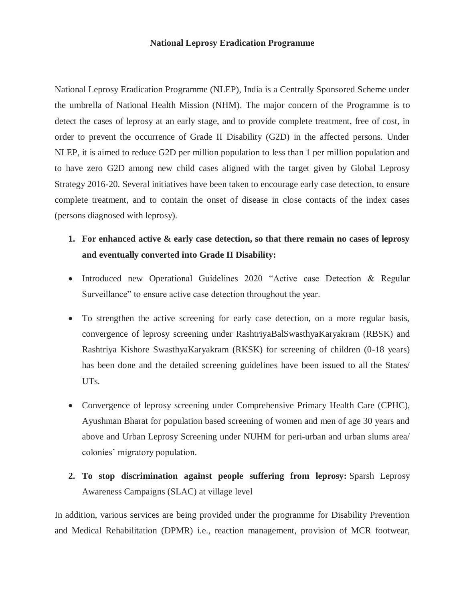## **National Leprosy Eradication Programme**

National Leprosy Eradication Programme (NLEP), India is a Centrally Sponsored Scheme under the umbrella of National Health Mission (NHM). The major concern of the Programme is to detect the cases of leprosy at an early stage, and to provide complete treatment, free of cost, in order to prevent the occurrence of Grade II Disability (G2D) in the affected persons. Under NLEP, it is aimed to reduce G2D per million population to less than 1 per million population and to have zero G2D among new child cases aligned with the target given by Global Leprosy Strategy 2016-20. Several initiatives have been taken to encourage early case detection, to ensure complete treatment, and to contain the onset of disease in close contacts of the index cases (persons diagnosed with leprosy).

- **1. For enhanced active & early case detection, so that there remain no cases of leprosy and eventually converted into Grade II Disability:**
- Introduced new Operational Guidelines 2020 "Active case Detection & Regular Surveillance" to ensure active case detection throughout the year.
- To strengthen the active screening for early case detection, on a more regular basis, convergence of leprosy screening under RashtriyaBalSwasthyaKaryakram (RBSK) and Rashtriya Kishore SwasthyaKaryakram (RKSK) for screening of children (0-18 years) has been done and the detailed screening guidelines have been issued to all the States/ UTs.
- Convergence of leprosy screening under Comprehensive Primary Health Care (CPHC), Ayushman Bharat for population based screening of women and men of age 30 years and above and Urban Leprosy Screening under NUHM for peri-urban and urban slums area/ colonies' migratory population.
- **2. To stop discrimination against people suffering from leprosy:** Sparsh Leprosy Awareness Campaigns (SLAC) at village level

In addition, various services are being provided under the programme for Disability Prevention and Medical Rehabilitation (DPMR) i.e., reaction management, provision of MCR footwear,